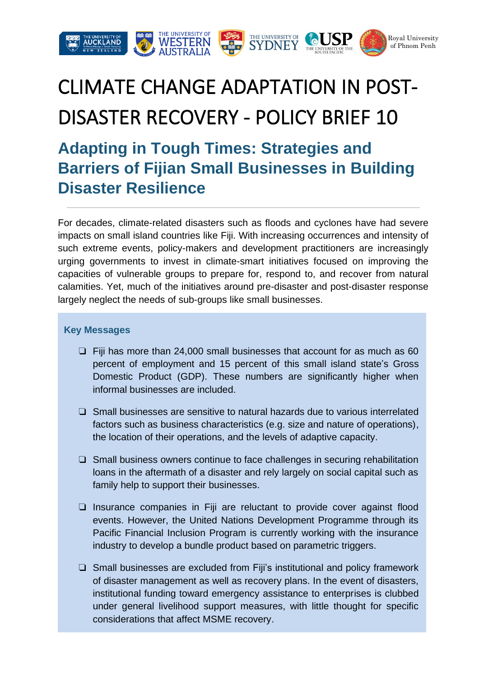

# CLIMATE CHANGE ADAPTATION IN POST-DISASTER RECOVERY - POLICY BRIEF 10

# **Adapting in Tough Times: Strategies and Barriers of Fijian Small Businesses in Building Disaster Resilience**

For decades, climate-related disasters such as floods and cyclones have had severe impacts on small island countries like Fiji. With increasing occurrences and intensity of such extreme events, policy-makers and development practitioners are increasingly urging governments to invest in climate-smart initiatives focused on improving the capacities of vulnerable groups to prepare for, respond to, and recover from natural calamities. Yet, much of the initiatives around pre-disaster and post-disaster response largely neglect the needs of sub-groups like small businesses.

#### **Key Messages**

- ❏ Fiji has more than 24,000 small businesses that account for as much as 60 percent of employment and 15 percent of this small island state's Gross Domestic Product (GDP). These numbers are significantly higher when informal businesses are included.
- ❏ Small businesses are sensitive to natural hazards due to various interrelated factors such as business characteristics (e.g. size and nature of operations), the location of their operations, and the levels of adaptive capacity.
- ❏ Small business owners continue to face challenges in securing rehabilitation loans in the aftermath of a disaster and rely largely on social capital such as family help to support their businesses.
- ❏ Insurance companies in Fiji are reluctant to provide cover against flood events. However, the United Nations Development Programme through its Pacific Financial Inclusion Program is currently working with the insurance industry to develop a bundle product based on parametric triggers.
- ❏ Small businesses are excluded from Fiji's institutional and policy framework of disaster management as well as recovery plans. In the event of disasters, institutional funding toward emergency assistance to enterprises is clubbed under general livelihood support measures, with little thought for specific considerations that affect MSME recovery.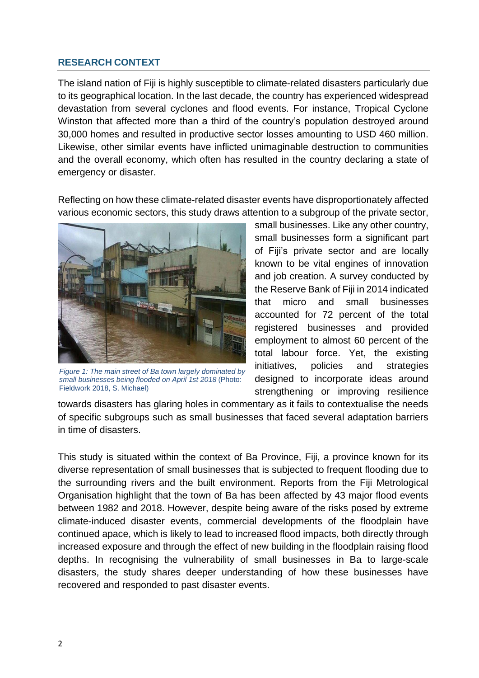# **RESEARCH CONTEXT**

The island nation of Fiji is highly susceptible to climate-related disasters particularly due to its geographical location. In the last decade, the country has experienced widespread devastation from several cyclones and flood events. For instance, Tropical Cyclone Winston that affected more than a third of the country's population destroyed around 30,000 homes and resulted in productive sector losses amounting to USD 460 million. Likewise, other similar events have inflicted unimaginable destruction to communities and the overall economy, which often has resulted in the country declaring a state of emergency or disaster.

Reflecting on how these climate-related disaster events have disproportionately affected various economic sectors, this study draws attention to a subgroup of the private sector,



*Figure 1: The main street of Ba town largely dominated by small businesses being flooded on April 1st 2018* (Photo: Fieldwork 2018, S. Michael)

small businesses. Like any other country, small businesses form a significant part of Fiji's private sector and are locally known to be vital engines of innovation and job creation. A survey conducted by the Reserve Bank of Fiji in 2014 indicated that micro and small businesses accounted for 72 percent of the total registered businesses and provided employment to almost 60 percent of the total labour force. Yet, the existing initiatives, policies and strategies designed to incorporate ideas around strengthening or improving resilience

towards disasters has glaring holes in commentary as it fails to contextualise the needs of specific subgroups such as small businesses that faced several adaptation barriers in time of disasters.

This study is situated within the context of Ba Province, Fiji, a province known for its diverse representation of small businesses that is subjected to frequent flooding due to the surrounding rivers and the built environment. Reports from the Fiji Metrological Organisation highlight that the town of Ba has been affected by 43 major flood events between 1982 and 2018. However, despite being aware of the risks posed by extreme climate-induced disaster events, commercial developments of the floodplain have continued apace, which is likely to lead to increased flood impacts, both directly through increased exposure and through the effect of new building in the floodplain raising flood depths. In recognising the vulnerability of small businesses in Ba to large-scale disasters, the study shares deeper understanding of how these businesses have recovered and responded to past disaster events.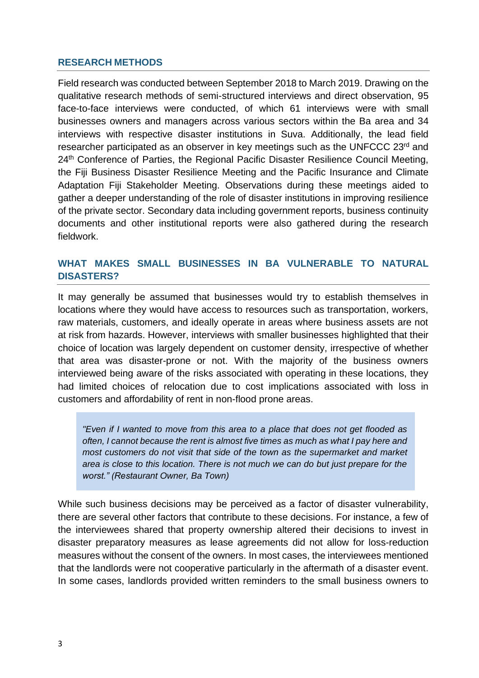## **RESEARCH METHODS**

Field research was conducted between September 2018 to March 2019. Drawing on the qualitative research methods of semi-structured interviews and direct observation, 95 face-to-face interviews were conducted, of which 61 interviews were with small businesses owners and managers across various sectors within the Ba area and 34 interviews with respective disaster institutions in Suva. Additionally, the lead field researcher participated as an observer in key meetings such as the UNFCCC 23rd and 24<sup>th</sup> Conference of Parties, the Regional Pacific Disaster Resilience Council Meeting, the Fiji Business Disaster Resilience Meeting and the Pacific Insurance and Climate Adaptation Fiji Stakeholder Meeting. Observations during these meetings aided to gather a deeper understanding of the role of disaster institutions in improving resilience of the private sector. Secondary data including government reports, business continuity documents and other institutional reports were also gathered during the research fieldwork.

# **WHAT MAKES SMALL BUSINESSES IN BA VULNERABLE TO NATURAL DISASTERS?**

It may generally be assumed that businesses would try to establish themselves in locations where they would have access to resources such as transportation, workers, raw materials, customers, and ideally operate in areas where business assets are not at risk from hazards. However, interviews with smaller businesses highlighted that their choice of location was largely dependent on customer density, irrespective of whether that area was disaster-prone or not. With the majority of the business owners interviewed being aware of the risks associated with operating in these locations, they had limited choices of relocation due to cost implications associated with loss in customers and affordability of rent in non-flood prone areas.

*"Even if I wanted to move from this area to a place that does not get flooded as often, I cannot because the rent is almost five times as much as what I pay here and most customers do not visit that side of the town as the supermarket and market area is close to this location. There is not much we can do but just prepare for the worst." (Restaurant Owner, Ba Town)* 

While such business decisions may be perceived as a factor of disaster vulnerability, there are several other factors that contribute to these decisions. For instance, a few of the interviewees shared that property ownership altered their decisions to invest in disaster preparatory measures as lease agreements did not allow for loss-reduction measures without the consent of the owners. In most cases, the interviewees mentioned that the landlords were not cooperative particularly in the aftermath of a disaster event. In some cases, landlords provided written reminders to the small business owners to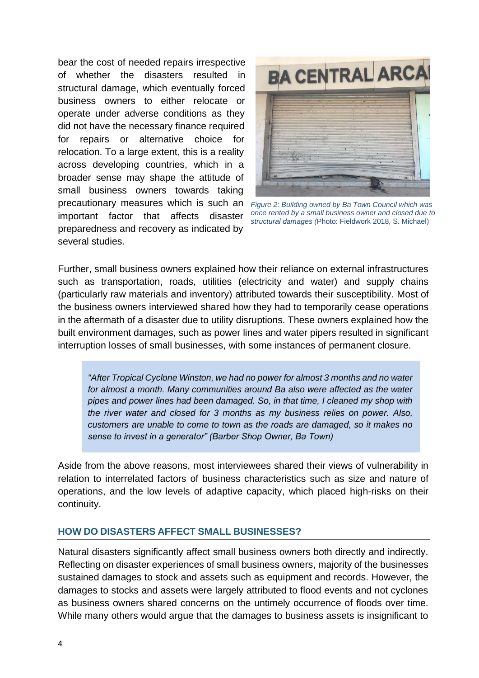bear the cost of needed repairs irrespective of whether the disasters resulted in structural damage, which eventually forced business owners to either relocate or operate under adverse conditions as they did not have the necessary finance required for repairs or alternative choice for relocation. To a large extent, this is a reality across developing countries, which in a broader sense may shape the attitude of small business owners towards taking precautionary measures which is such an important factor that affects disaster preparedness and recovery as indicated by several studies.



*Figure 2: Building owned by Ba Town Council which was once rented by a small business owner and closed due to structural damages (*Photo: Fieldwork 2018, S. Michael)

Further, small business owners explained how their reliance on external infrastructures such as transportation, roads, utilities (electricity and water) and supply chains (particularly raw materials and inventory) attributed towards their susceptibility. Most of the business owners interviewed shared how they had to temporarily cease operations in the aftermath of a disaster due to utility disruptions. These owners explained how the built environment damages, such as power lines and water pipers resulted in significant interruption losses of small businesses, with some instances of permanent closure.

*"After Tropical Cyclone Winston, we had no power for almost 3 months and no water for almost a month. Many communities around Ba also were affected as the water pipes and power lines had been damaged. So, in that time, I cleaned my shop with the river water and closed for 3 months as my business relies on power. Also, customers are unable to come to town as the roads are damaged, so it makes no sense to invest in a generator" (Barber Shop Owner, Ba Town)* 

Aside from the above reasons, most interviewees shared their views of vulnerability in relation to interrelated factors of business characteristics such as size and nature of operations, and the low levels of adaptive capacity, which placed high-risks on their continuity.

#### **HOW DO DISASTERS AFFECT SMALL BUSINESSES?**

Natural disasters significantly affect small business owners both directly and indirectly. Reflecting on disaster experiences of small business owners, majority of the businesses sustained damages to stock and assets such as equipment and records. However, the damages to stocks and assets were largely attributed to flood events and not cyclones as business owners shared concerns on the untimely occurrence of floods over time. While many others would argue that the damages to business assets is insignificant to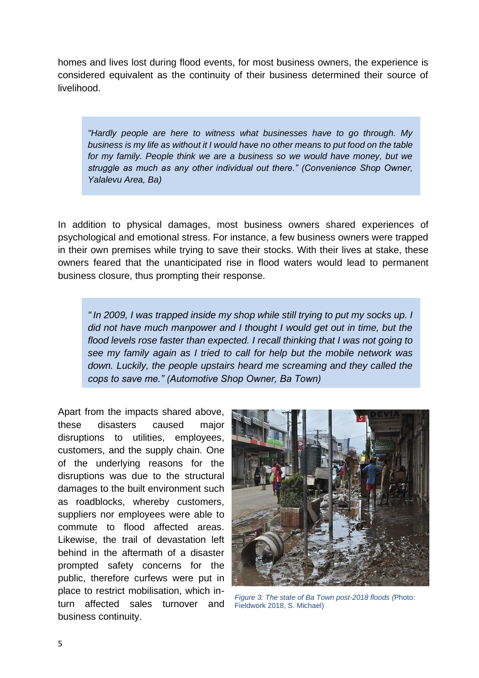homes and lives lost during flood events, for most business owners, the experience is considered equivalent as the continuity of their business determined their source of livelihood.

*"Hardly people are here to witness what businesses have to go through. My business is my life as without it I would have no other means to put food on the table for my family. People think we are a business so we would have money, but we struggle as much as any other individual out there." (Convenience Shop Owner, Yalalevu Area, Ba)* 

In addition to physical damages, most business owners shared experiences of psychological and emotional stress. For instance, a few business owners were trapped in their own premises while trying to save their stocks. With their lives at stake, these owners feared that the unanticipated rise in flood waters would lead to permanent business closure, thus prompting their response.

*" In 2009, I was trapped inside my shop while still trying to put my socks up. I did not have much manpower and I thought I would get out in time, but the flood levels rose faster than expected. I recall thinking that I was not going to see my family again as I tried to call for help but the mobile network was down. Luckily, the people upstairs heard me screaming and they called the cops to save me." (Automotive Shop Owner, Ba Town)* 

Apart from the impacts shared above, these disasters caused major disruptions to utilities, employees, customers, and the supply chain. One of the underlying reasons for the disruptions was due to the structural damages to the built environment such as roadblocks, whereby customers, suppliers nor employees were able to commute to flood affected areas. Likewise, the trail of devastation left behind in the aftermath of a disaster prompted safety concerns for the public, therefore curfews were put in place to restrict mobilisation, which inturn affected sales turnover and business continuity.



*Figure 3: The state of Ba Town post-2018 floods (*Photo: Fieldwork 2018, S. Michael)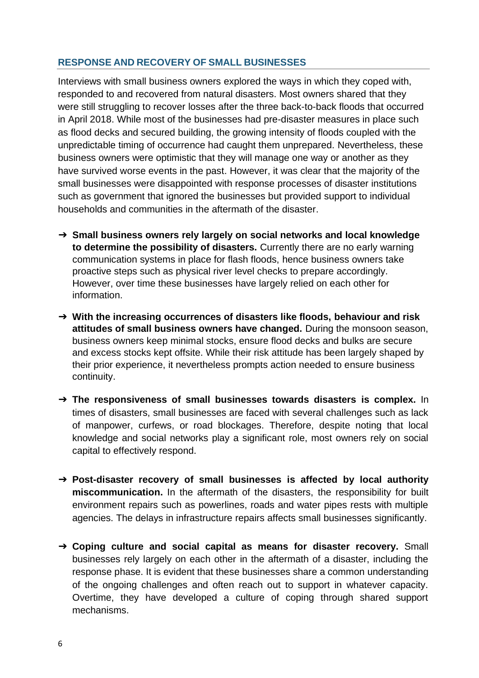# **RESPONSE AND RECOVERY OF SMALL BUSINESSES**

Interviews with small business owners explored the ways in which they coped with, responded to and recovered from natural disasters. Most owners shared that they were still struggling to recover losses after the three back-to-back floods that occurred in April 2018. While most of the businesses had pre-disaster measures in place such as flood decks and secured building, the growing intensity of floods coupled with the unpredictable timing of occurrence had caught them unprepared. Nevertheless, these business owners were optimistic that they will manage one way or another as they have survived worse events in the past. However, it was clear that the majority of the small businesses were disappointed with response processes of disaster institutions such as government that ignored the businesses but provided support to individual households and communities in the aftermath of the disaster.

- ➔ **Small business owners rely largely on social networks and local knowledge to determine the possibility of disasters.** Currently there are no early warning communication systems in place for flash floods, hence business owners take proactive steps such as physical river level checks to prepare accordingly. However, over time these businesses have largely relied on each other for information.
- ➔ **With the increasing occurrences of disasters like floods, behaviour and risk attitudes of small business owners have changed.** During the monsoon season, business owners keep minimal stocks, ensure flood decks and bulks are secure and excess stocks kept offsite. While their risk attitude has been largely shaped by their prior experience, it nevertheless prompts action needed to ensure business continuity.
- ➔ **The responsiveness of small businesses towards disasters is complex.** In times of disasters, small businesses are faced with several challenges such as lack of manpower, curfews, or road blockages. Therefore, despite noting that local knowledge and social networks play a significant role, most owners rely on social capital to effectively respond.
- ➔ **Post-disaster recovery of small businesses is affected by local authority miscommunication.** In the aftermath of the disasters, the responsibility for built environment repairs such as powerlines, roads and water pipes rests with multiple agencies. The delays in infrastructure repairs affects small businesses significantly.
- ➔ **Coping culture and social capital as means for disaster recovery.** Small businesses rely largely on each other in the aftermath of a disaster, including the response phase. It is evident that these businesses share a common understanding of the ongoing challenges and often reach out to support in whatever capacity. Overtime, they have developed a culture of coping through shared support mechanisms.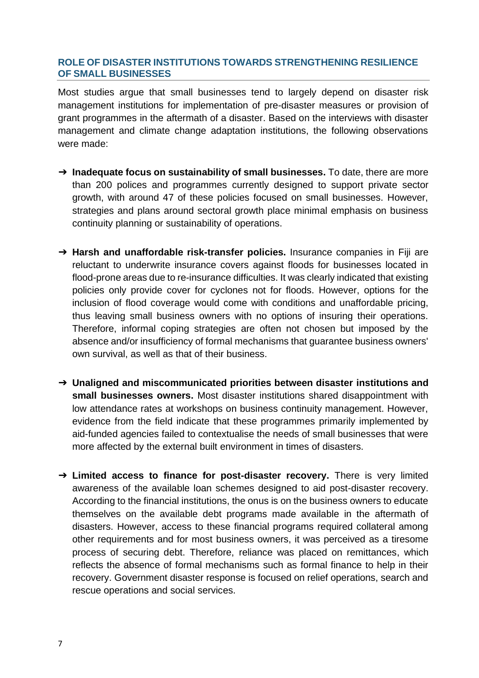## **ROLE OF DISASTER INSTITUTIONS TOWARDS STRENGTHENING RESILIENCE OF SMALL BUSINESSES**

Most studies argue that small businesses tend to largely depend on disaster risk management institutions for implementation of pre-disaster measures or provision of grant programmes in the aftermath of a disaster. Based on the interviews with disaster management and climate change adaptation institutions, the following observations were made:

- ➔ **Inadequate focus on sustainability of small businesses.** To date, there are more than 200 polices and programmes currently designed to support private sector growth, with around 47 of these policies focused on small businesses. However, strategies and plans around sectoral growth place minimal emphasis on business continuity planning or sustainability of operations.
- ➔ **Harsh and unaffordable risk-transfer policies.** Insurance companies in Fiji are reluctant to underwrite insurance covers against floods for businesses located in flood-prone areas due to re-insurance difficulties. It was clearly indicated that existing policies only provide cover for cyclones not for floods. However, options for the inclusion of flood coverage would come with conditions and unaffordable pricing, thus leaving small business owners with no options of insuring their operations. Therefore, informal coping strategies are often not chosen but imposed by the absence and/or insufficiency of formal mechanisms that guarantee business owners' own survival, as well as that of their business.
- ➔ **Unaligned and miscommunicated priorities between disaster institutions and small businesses owners.** Most disaster institutions shared disappointment with low attendance rates at workshops on business continuity management. However, evidence from the field indicate that these programmes primarily implemented by aid-funded agencies failed to contextualise the needs of small businesses that were more affected by the external built environment in times of disasters.
- ➔ **Limited access to finance for post-disaster recovery.** There is very limited awareness of the available loan schemes designed to aid post-disaster recovery. According to the financial institutions, the onus is on the business owners to educate themselves on the available debt programs made available in the aftermath of disasters. However, access to these financial programs required collateral among other requirements and for most business owners, it was perceived as a tiresome process of securing debt. Therefore, reliance was placed on remittances, which reflects the absence of formal mechanisms such as formal finance to help in their recovery. Government disaster response is focused on relief operations, search and rescue operations and social services.